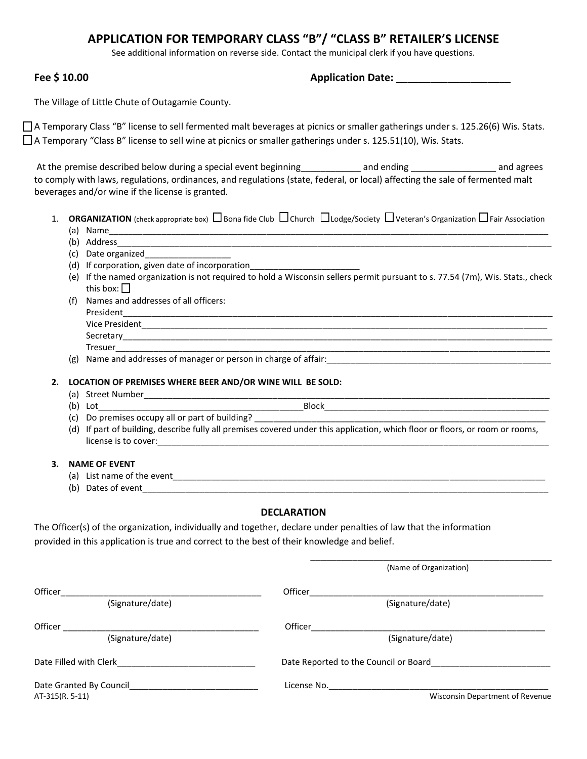# **APPLICATION FOR TEMPORARY CLASS "B"/ "CLASS B" RETAILER'S LICENSE**

See additional information on reverse side. Contact the municipal clerk if you have questions.

**Fee \$ 10.00 Application Date:**  $\blacksquare$ 

The Village of Little Chute of Outagamie County.

A Temporary Class "B" license to sell fermented malt beverages at picnics or smaller gatherings under s. 125.26(6) Wis. Stats.  $\Box$  A Temporary "Class B" license to sell wine at picnics or smaller gatherings under s. 125.51(10), Wis. Stats.

At the premise described below during a special event beginning\_\_\_\_\_\_\_\_\_\_\_ and ending \_\_\_\_\_\_\_\_\_\_\_\_\_\_\_\_\_\_ and agrees to comply with laws, regulations, ordinances, and regulations (state, federal, or local) affecting the sale of fermented malt beverages and/or wine if the license is granted.

- 1. **ORGANIZATION** (check appropriate box)  $\Box$  Bona fide Club  $\Box$  Church  $\Box$  Lodge/Society  $\Box$  Veteran's Organization  $\Box$  Fair Association
	- $(a)$  Name
	- (b) Address
	- (c) Date organized\_\_\_\_\_\_\_\_\_\_\_\_\_\_\_\_\_\_
	- (d) If corporation, given date of incorporation\_\_\_\_\_\_\_\_\_\_\_\_\_\_\_\_\_\_\_\_\_\_\_
	- (e) If the named organization is not required to hold a Wisconsin sellers permit pursuant to s. 77.54 (7m), Wis. Stats., check this box:  $\Box$
	- (f) Names and addresses of all officers: President\_\_\_\_\_\_\_\_\_\_\_\_\_\_\_\_\_\_\_\_\_\_\_\_\_\_\_\_\_\_\_\_\_\_\_\_\_\_\_\_\_\_\_\_\_\_\_\_\_\_\_\_\_\_\_\_\_\_\_\_\_\_\_\_\_\_\_\_\_\_\_\_\_\_\_\_\_\_\_\_\_\_\_\_\_\_\_\_\_\_ Vice President Secretary\_\_\_\_\_\_\_\_\_\_\_\_\_\_\_\_\_\_\_\_\_\_\_\_\_\_\_\_\_\_\_\_\_\_\_\_\_\_\_\_\_\_\_\_\_\_\_\_\_\_\_\_\_\_\_\_\_\_\_\_\_\_\_\_\_\_\_\_\_\_\_\_\_\_\_\_\_\_\_\_\_\_\_\_\_\_\_\_\_\_
		- $\blacksquare$  Tresuer
	- (g) Name and addresses of manager or person in charge of affair: \_\_\_\_\_\_\_\_\_\_\_\_\_\_\_
- **2. LOCATION OF PREMISES WHERE BEER AND/OR WINE WILL BE SOLD:**
	- (a) Street Number\_\_\_\_\_\_\_\_\_\_\_\_\_\_\_\_\_\_\_\_\_\_\_\_\_\_\_\_\_\_\_\_\_\_\_\_\_\_\_\_\_\_\_\_\_\_\_\_\_\_\_\_\_\_\_\_\_\_\_\_\_\_\_\_\_\_\_\_\_\_\_\_\_\_\_\_\_\_\_\_\_\_\_\_\_
	- (b) Lot  $\Box$ (c) Do premises occupy all or part of building?
		-
	- (d) If part of building, describe fully all premises covered under this application, which floor or floors, or room or rooms, license is to cover:
- **3. NAME OF EVENT**
	- (a) List name of the event\_\_\_\_\_\_\_\_\_\_\_\_\_\_\_\_\_\_\_\_\_\_\_\_\_\_\_\_\_\_\_\_\_\_\_\_\_\_\_\_\_\_\_\_\_\_\_\_\_\_\_\_\_\_\_\_\_\_\_\_\_\_\_\_\_\_\_\_\_\_\_\_\_\_\_\_\_\_
	- (b) Dates of event

#### **DECLARATION**

\_\_\_\_\_\_\_\_\_\_\_\_\_\_\_\_\_\_\_\_\_\_\_\_\_\_\_\_\_\_\_\_\_\_\_\_\_\_\_\_\_\_\_\_\_\_

The Officer(s) of the organization, individually and together, declare under penalties of law that the information provided in this application is true and correct to the best of their knowledge and belief.

|                                                                                                                |                  | (Name of Organization)                |                                        |
|----------------------------------------------------------------------------------------------------------------|------------------|---------------------------------------|----------------------------------------|
| Officer                                                                                                        |                  | Officer                               |                                        |
|                                                                                                                | (Signature/date) | (Signature/date)                      |                                        |
| Officer                                                                                                        |                  | Officer                               |                                        |
|                                                                                                                | (Signature/date) | (Signature/date)                      |                                        |
| Date Filled with Clerk and the state of the state of the state of the state of the state of the state of the s |                  | Date Reported to the Council or Board |                                        |
| Date Granted By Council Date Crank                                                                             |                  | License No.                           |                                        |
| AT-315(R. 5-11)                                                                                                |                  |                                       | <b>Wisconsin Department of Revenue</b> |